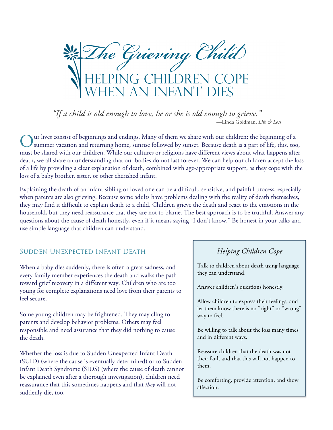he Grieving Chila CHILDREN<br>J INFANT I

*"If a child is old enough to love, he or she is old enough to grieve."* —Linda Goldman, *Life & Loss*

ur lives consist of beginnings and endings. Many of them we share with our children: the beginning of a summer vacation and returning home, sunrise followed by sunset. Because death is a part of life, this, too, must be shared with our children. While our cultures or religions have different views about what happens after death, we all share an understanding that our bodies do not last forever. We can help our children accept the loss of a life by providing a clear explanation of death, combined with age-appropriate support, as they cope with the loss of a baby brother, sister, or other cherished infant. O

Explaining the death of an infant sibling or loved one can be a difficult, sensitive, and painful process, especially when parents are also grieving. Because some adults have problems dealing with the reality of death themselves, they may find it difficult to explain death to a child. Children grieve the death and react to the emotions in the household, but they need reassurance that they are not to blame. The best approach is to be truthful. Answer any questions about the cause of death honestly, even if it means saying "I don't know." Be honest in your talks and use simple language that children can understand.

#### Sudden Unexpected Infant Death

When a baby dies suddenly, there is often a great sadness, and every family member experiences the death and walks the path toward grief recovery in a different way. Children who are too young for complete explanations need love from their parents to feel secure.

Some young children may be frightened. They may cling to parents and develop behavior problems. Others may feel responsible and need assurance that they did nothing to cause the death.

Whether the loss is due to Sudden Unexpected Infant Death (SUID) (where the cause is eventually determined) or to Sudden Infant Death Syndrome (SIDS) (where the cause of death cannot be explained even after a thorough investigation), children need reassurance that this sometimes happens and that *they* will not suddenly die, too.

# *Helping Children Cope*

Talk to children about death using language they can understand.

Answer children's questions honestly.

Allow children to express their feelings, and let them know there is no "right" or "wrong" way to feel.

Be willing to talk about the loss many times and in different ways.

Reassure children that the death was not their fault and that this will not happen to them.

Be comforting, provide attention, and show affection.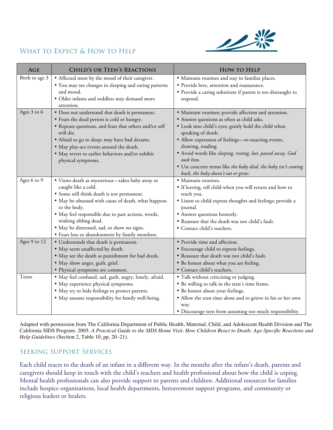

# WHAT TO EXPECT & HOW TO HELP

| <b>AGE</b>     | <b>CHILD'S OR TEEN'S REACTIONS</b>                                                                                                                                                                                                                                                                                                                                         | <b>HOW TO HELP</b>                                                                                                                                                                                                                                                                                                                                                                                                                                 |
|----------------|----------------------------------------------------------------------------------------------------------------------------------------------------------------------------------------------------------------------------------------------------------------------------------------------------------------------------------------------------------------------------|----------------------------------------------------------------------------------------------------------------------------------------------------------------------------------------------------------------------------------------------------------------------------------------------------------------------------------------------------------------------------------------------------------------------------------------------------|
| Birth to age 3 | • Affected most by the mood of their caregiver.<br>• You may see changes in sleeping and eating patterns<br>and mood.<br>· Older infants and toddlers may demand more<br>attention.                                                                                                                                                                                        | · Maintain routines and stay in familiar places.<br>· Provide love, attention and reassurance.<br>· Provide a caring substitute if parent is too distraught to<br>respond.                                                                                                                                                                                                                                                                         |
| Ages 3 to 6    | • Does not understand that death is permanent.<br>• Fears the dead person is cold or hungry.<br>· Repeats questions, and fears that others and/or self<br>will die.<br>• Afraid to go to sleep; may have bad dreams.<br>· May play-act events around the death.<br>· May revert to earlier behaviors and/or exhibit<br>physical symptoms.                                  | · Maintain routines; provide affection and attention.<br>• Answer questions as often as child asks.<br>· Look into child's eyes; gently hold the child when<br>speaking of death.<br>• Allow expression of feelings-re-enacting events,<br>drawing, reading.<br>· Avoid words like sleeping, resting, lost, passed away, God<br>took him.<br>· Use concrete terms like the baby died, the baby isn't coming<br>back, the baby doesn't eat or grow. |
| Ages 6 to 9    | · Views death as mysterious-takes baby away or<br>caught like a cold.<br>• Some still think death is not permanent.<br>• May be obsessed with cause of death, what happens<br>to the body.<br>· May feel responsible due to past actions, words,<br>wishing sibling dead.<br>· May be distressed, sad, or show no signs.<br>· Fears loss or abandonment by family members. | · Maintain routines.<br>· If leaving, tell child when you will return and how to<br>reach you.<br>• Listen to child express thoughts and feelings; provide a<br>journal.<br>• Answer questions honestly.<br>. Reassure that the death was not child's fault.<br>· Contact child's teachers.                                                                                                                                                        |
| Ages 9 to 12   | • Understands that death is permanent.<br>• May seem unaffected by death.<br>• May see the death as punishment for bad deeds.<br>· May show anger, guilt, grief.<br>• Physical symptoms are common.                                                                                                                                                                        | • Provide time and affection.<br>• Encourage child to express feelings.<br>· Reassure that death was not child's fault.<br>. Be honest about what you are feeling.<br>· Contact child's teachers.                                                                                                                                                                                                                                                  |
| Teens          | · May feel confused, sad, guilt, angry, lonely, afraid.<br>· May experience physical symptoms.<br>• May try to hide feelings to protect parents.<br>· May assume responsibility for family well-being.                                                                                                                                                                     | · Talk without criticizing or judging.<br>• Be willing to talk in the teen's time frame.<br>• Be honest about your feelings.<br>• Allow the teen time alone and to grieve in his or her own<br>way.<br>· Discourage teen from assuming too much responsibility.                                                                                                                                                                                    |

Adapted with permission from The California Department of Public Health, Maternal, Child, and Adolescent Health Division and The California SIDS Program. 2005. *A Practical Guide to the SIDS Home Visit. How Children React to Death: Age-Specific Reactions and Help Guidelines* (Section 2, Table 10, pp. 20–21).

# Seeking Support Services

Each child reacts to the death of an infant in a different way. In the months after the infant's death, parents and caregivers should keep in touch with the child's teachers and health professional about how the child is coping. Mental health professionals can also provide support to parents and children. Additional resources for families include hospice organizations, local health departments, bereavement support programs, and community or religious leaders or healers.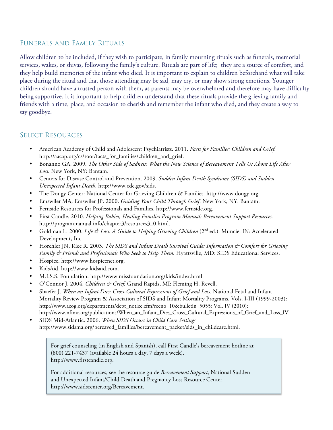#### Funerals and Family Rituals

Allow children to be included, if they wish to participate, in family mourning rituals such as funerals, memorial services, wakes, or shivas, following the family's culture. Rituals are part of life; they are a source of comfort, and they help build memories of the infant who died. It is important to explain to children beforehand what will take place during the ritual and that those attending may be sad, may cry, or may show strong emotions. Younger children should have a trusted person with them, as parents may be overwhelmed and therefore may have difficulty being supportive. It is important to help children understand that these rituals provide the grieving family and friends with a time, place, and occasion to cherish and remember the infant who died, and they create a way to say goodbye.

### Select Resources

- American Academy of Child and Adolescent Psychiatrists. 2011. *Facts for Families: Children and Grief.* http://aacap.org/cs/root/facts\_for\_families/children\_and\_grief.
- Bonanno GA. 2009. *The Other Side of Sadness: What the New Science of Bereavement Tells Us About Life After Loss.* New York, NY: Bantam.
- Centers for Disease Control and Prevention. 2009. *Sudden Infant Death Syndrome (SIDS) and Sudden Unexpected Infant Death.* http://www.cdc.gov/sids.
- The Dougy Center: National Center for Grieving Children & Families. http://www.dougy.org.
- Emswiler MA, Emswiler JP. 2000. *Guiding Your Child Through Grief*. New York, NY: Bantam.
- Fernside Resources for Professionals and Families. http://www.fernside.org.
- First Candle. 2010. *Helping Babies, Healing Families Program Manual: Bereavement Support Resources.* http://programmanual.info/chapter3/resources3\_0.html.
- Goldman L. 2000. *Life & Loss: A Guide to Helping Grieving Children* (2<sup>nd</sup> ed.). Muncie: IN: Accelerated Development, Inc.
- Horchler JN, Rice R. 2003. *The SIDS and Infant Death Survival Guide: Information & Comfort for Grieving Family & Friends and Professionals Who Seek to Help Them.* Hyattsville, MD: SIDS Educational Services.
- Hospice. http://www.hospicenet.org.
- KidsAid. http://www.kidsaid.com.
- M.I.S.S. Foundation. http://www.missfoundation.org/kids/index.html.
- O'Connor J. 2004. *Children & Grief.* Grand Rapids, MI: Fleming H. Revell.
- Shaefer J. *When an Infant Dies: Cross-Cultural Expressions of Grief and Loss.* National Fetal and Infant Mortality Review Program & Association of SIDS and Infant Mortality Programs. Vols. I-III (1999-2003): http://www.acog.org/departments/dept\_notice.cfm?recno=10&bulletin=5055; Vol. IV (2010): http://www.nfimr.org/publications/When\_an\_Infant\_Dies\_Cross\_Cultural\_Expressions\_of\_Grief\_and\_Loss\_IV
- SIDS Mid-Atlantic. 2006. *When SIDS Occurs in Child Care Settings.*  http://www.sidsma.org/bereaved\_families/bereavement\_packet/sids\_in\_childcare.html.

For grief counseling (in English and Spanish), call First Candle's bereavement hotline at (800) 221-7437 (available 24 hours a day, 7 days a week). http://www.firstcandle.org.

For additional resources, see the resource guide *Bereavement Support*, National Sudden and Unexpected Infant/Child Death and Pregnancy Loss Resource Center. http://www.sidscenter.org/Bereavement.